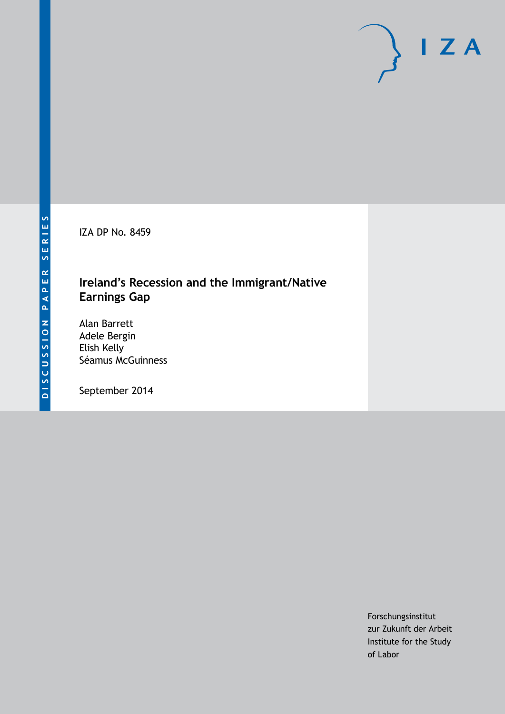IZA DP No. 8459

### **Ireland's Recession and the Immigrant/Native Earnings Gap**

Alan Barrett Adele Bergin Elish Kelly Séamus McGuinness

September 2014

Forschungsinstitut zur Zukunft der Arbeit Institute for the Study of Labor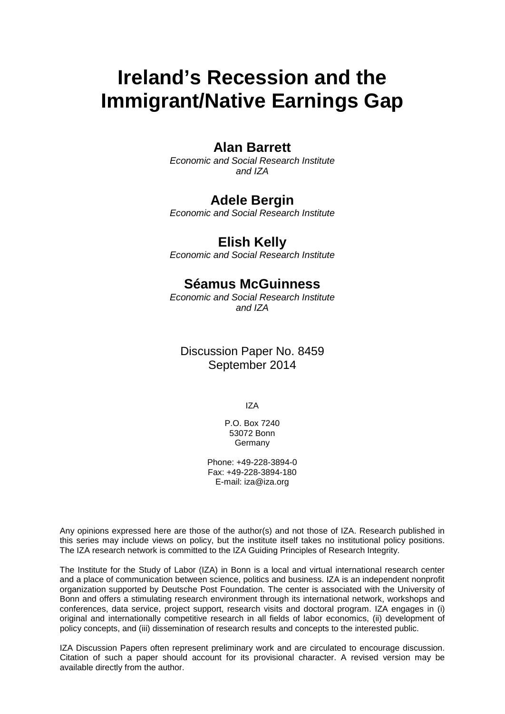# **Ireland's Recession and the Immigrant/Native Earnings Gap**

### **Alan Barrett**

*Economic and Social Research Institute and IZA*

### **Adele Bergin**

*Economic and Social Research Institute*

### **Elish Kelly**

*Economic and Social Research Institute*

### **Séamus McGuinness**

*Economic and Social Research Institute and IZA*

### Discussion Paper No. 8459 September 2014

IZA

P.O. Box 7240 53072 Bonn Germany

Phone: +49-228-3894-0 Fax: +49-228-3894-180 E-mail: [iza@iza.org](mailto:iza@iza.org)

Any opinions expressed here are those of the author(s) and not those of IZA. Research published in this series may include views on policy, but the institute itself takes no institutional policy positions. The IZA research network is committed to the IZA Guiding Principles of Research Integrity.

The Institute for the Study of Labor (IZA) in Bonn is a local and virtual international research center and a place of communication between science, politics and business. IZA is an independent nonprofit organization supported by Deutsche Post Foundation. The center is associated with the University of Bonn and offers a stimulating research environment through its international network, workshops and conferences, data service, project support, research visits and doctoral program. IZA engages in (i) original and internationally competitive research in all fields of labor economics, (ii) development of policy concepts, and (iii) dissemination of research results and concepts to the interested public.

<span id="page-1-0"></span>IZA Discussion Papers often represent preliminary work and are circulated to encourage discussion. Citation of such a paper should account for its provisional character. A revised version may be available directly from the author.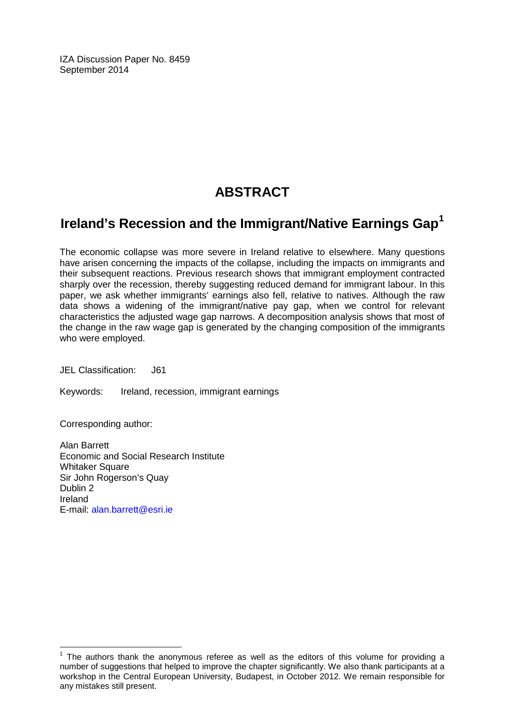IZA Discussion Paper No. 8459 September 2014

# **ABSTRACT**

## **Ireland's Recession and the Immigrant/Native Earnings Gap[1](#page-1-0)**

The economic collapse was more severe in Ireland relative to elsewhere. Many questions have arisen concerning the impacts of the collapse, including the impacts on immigrants and their subsequent reactions. Previous research shows that immigrant employment contracted sharply over the recession, thereby suggesting reduced demand for immigrant labour. In this paper, we ask whether immigrants' earnings also fell, relative to natives. Although the raw data shows a widening of the immigrant/native pay gap, when we control for relevant characteristics the adjusted wage gap narrows. A decomposition analysis shows that most of the change in the raw wage gap is generated by the changing composition of the immigrants who were employed.

JEL Classification: J61

Keywords: Ireland, recession, immigrant earnings

Corresponding author:

Alan Barrett Economic and Social Research Institute Whitaker Square Sir John Rogerson's Quay Dublin 2 Ireland E-mail: [alan.barrett@esri.ie](mailto:alan.barrett@esri.ie)

 $1$  The authors thank the anonymous referee as well as the editors of this volume for providing a number of suggestions that helped to improve the chapter significantly. We also thank participants at a workshop in the Central European University, Budapest, in October 2012. We remain responsible for any mistakes still present.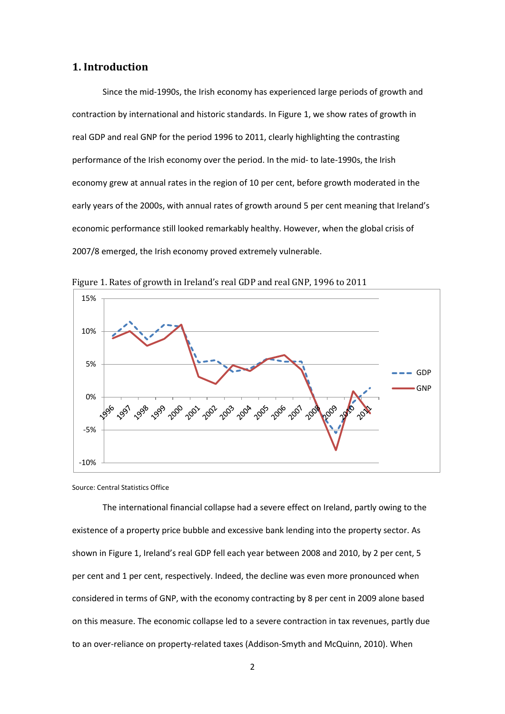#### **1. Introduction**

Since the mid-1990s, the Irish economy has experienced large periods of growth and contraction by international and historic standards. In Figure 1, we show rates of growth in real GDP and real GNP for the period 1996 to 2011, clearly highlighting the contrasting performance of the Irish economy over the period. In the mid- to late-1990s, the Irish economy grew at annual rates in the region of 10 per cent, before growth moderated in the early years of the 2000s, with annual rates of growth around 5 per cent meaning that Ireland's economic performance still looked remarkably healthy. However, when the global crisis of 2007/8 emerged, the Irish economy proved extremely vulnerable.



Figure 1. Rates of growth in Ireland's real GDP and real GNP, 1996 to 2011

Source: Central Statistics Office

The international financial collapse had a severe effect on Ireland, partly owing to the existence of a property price bubble and excessive bank lending into the property sector. As shown in Figure 1, Ireland's real GDP fell each year between 2008 and 2010, by 2 per cent, 5 per cent and 1 per cent, respectively. Indeed, the decline was even more pronounced when considered in terms of GNP, with the economy contracting by 8 per cent in 2009 alone based on this measure. The economic collapse led to a severe contraction in tax revenues, partly due to an over-reliance on property-related taxes (Addison-Smyth and McQuinn, 2010). When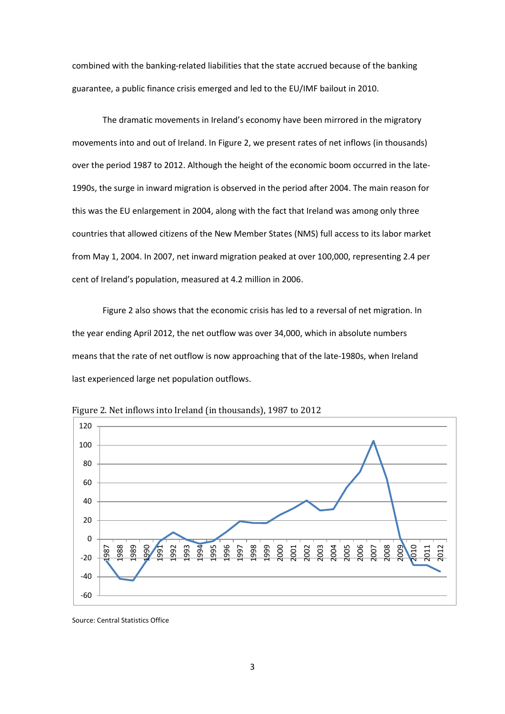combined with the banking-related liabilities that the state accrued because of the banking guarantee, a public finance crisis emerged and led to the EU/IMF bailout in 2010.

The dramatic movements in Ireland's economy have been mirrored in the migratory movements into and out of Ireland. In Figure 2, we present rates of net inflows (in thousands) over the period 1987 to 2012. Although the height of the economic boom occurred in the late-1990s, the surge in inward migration is observed in the period after 2004. The main reason for this was the EU enlargement in 2004, along with the fact that Ireland was among only three countries that allowed citizens of the New Member States (NMS) full access to its labor market from May 1, 2004. In 2007, net inward migration peaked at over 100,000, representing 2.4 per cent of Ireland's population, measured at 4.2 million in 2006.

Figure 2 also shows that the economic crisis has led to a reversal of net migration. In the year ending April 2012, the net outflow was over 34,000, which in absolute numbers means that the rate of net outflow is now approaching that of the late-1980s, when Ireland last experienced large net population outflows.



Figure 2. Net inflows into Ireland (in thousands), 1987 to 2012

Source: Central Statistics Office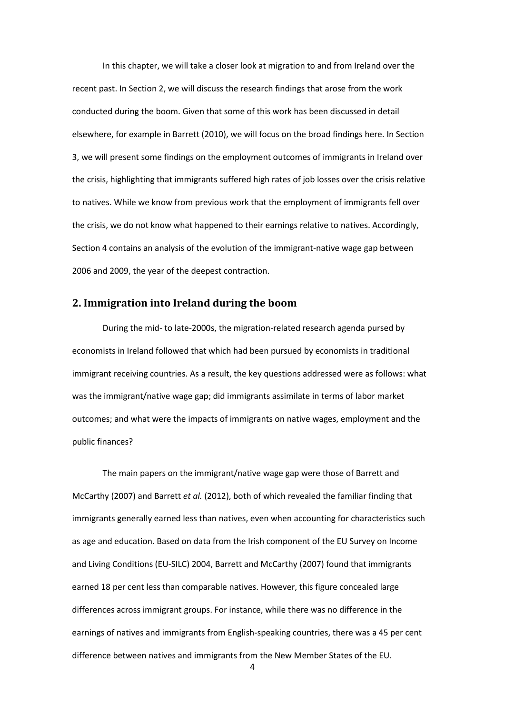In this chapter, we will take a closer look at migration to and from Ireland over the recent past. In Section 2, we will discuss the research findings that arose from the work conducted during the boom. Given that some of this work has been discussed in detail elsewhere, for example in Barrett (2010), we will focus on the broad findings here. In Section 3, we will present some findings on the employment outcomes of immigrants in Ireland over the crisis, highlighting that immigrants suffered high rates of job losses over the crisis relative to natives. While we know from previous work that the employment of immigrants fell over the crisis, we do not know what happened to their earnings relative to natives. Accordingly, Section 4 contains an analysis of the evolution of the immigrant-native wage gap between 2006 and 2009, the year of the deepest contraction.

#### **2. Immigration into Ireland during the boom**

During the mid- to late-2000s, the migration-related research agenda pursed by economists in Ireland followed that which had been pursued by economists in traditional immigrant receiving countries. As a result, the key questions addressed were as follows: what was the immigrant/native wage gap; did immigrants assimilate in terms of labor market outcomes; and what were the impacts of immigrants on native wages, employment and the public finances?

The main papers on the immigrant/native wage gap were those of Barrett and McCarthy (2007) and Barrett *et al.* (2012), both of which revealed the familiar finding that immigrants generally earned less than natives, even when accounting for characteristics such as age and education. Based on data from the Irish component of the EU Survey on Income and Living Conditions (EU-SILC) 2004, Barrett and McCarthy (2007) found that immigrants earned 18 per cent less than comparable natives. However, this figure concealed large differences across immigrant groups. For instance, while there was no difference in the earnings of natives and immigrants from English-speaking countries, there was a 45 per cent difference between natives and immigrants from the New Member States of the EU.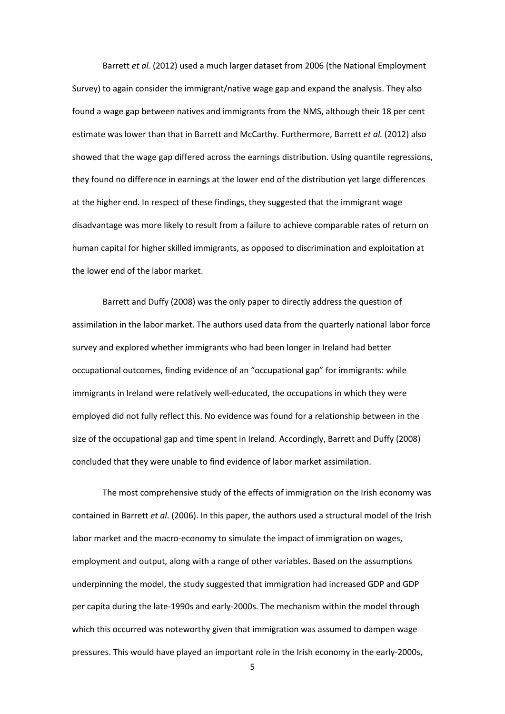Barrett *et al.* (2012) used a much larger dataset from 2006 (the National Employment Survey) to again consider the immigrant/native wage gap and expand the analysis. They also found a wage gap between natives and immigrants from the NMS, although their 18 per cent estimate was lower than that in Barrett and McCarthy. Furthermore, Barrett *et al.* (2012) also showed that the wage gap differed across the earnings distribution. Using quantile regressions, they found no difference in earnings at the lower end of the distribution yet large differences at the higher end. In respect of these findings, they suggested that the immigrant wage disadvantage was more likely to result from a failure to achieve comparable rates of return on human capital for higher skilled immigrants, as opposed to discrimination and exploitation at the lower end of the labor market.

Barrett and Duffy (2008) was the only paper to directly address the question of assimilation in the labor market. The authors used data from the quarterly national labor force survey and explored whether immigrants who had been longer in Ireland had better occupational outcomes, finding evidence of an "occupational gap" for immigrants: while immigrants in Ireland were relatively well-educated, the occupations in which they were employed did not fully reflect this. No evidence was found for a relationship between in the size of the occupational gap and time spent in Ireland. Accordingly, Barrett and Duffy (2008) concluded that they were unable to find evidence of labor market assimilation.

The most comprehensive study of the effects of immigration on the Irish economy was contained in Barrett *et al*. (2006). In this paper, the authors used a structural model of the Irish labor market and the macro-economy to simulate the impact of immigration on wages, employment and output, along with a range of other variables. Based on the assumptions underpinning the model, the study suggested that immigration had increased GDP and GDP per capita during the late-1990s and early-2000s. The mechanism within the model through which this occurred was noteworthy given that immigration was assumed to dampen wage pressures. This would have played an important role in the Irish economy in the early-2000s,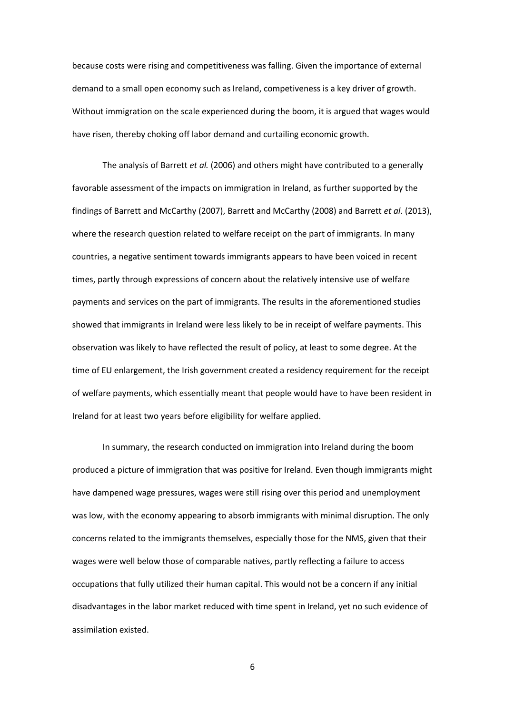because costs were rising and competitiveness was falling. Given the importance of external demand to a small open economy such as Ireland, competiveness is a key driver of growth. Without immigration on the scale experienced during the boom, it is argued that wages would have risen, thereby choking off labor demand and curtailing economic growth.

The analysis of Barrett *et al.* (2006) and others might have contributed to a generally favorable assessment of the impacts on immigration in Ireland, as further supported by the findings of Barrett and McCarthy (2007), Barrett and McCarthy (2008) and Barrett *et al*. (2013), where the research question related to welfare receipt on the part of immigrants. In many countries, a negative sentiment towards immigrants appears to have been voiced in recent times, partly through expressions of concern about the relatively intensive use of welfare payments and services on the part of immigrants. The results in the aforementioned studies showed that immigrants in Ireland were less likely to be in receipt of welfare payments. This observation was likely to have reflected the result of policy, at least to some degree. At the time of EU enlargement, the Irish government created a residency requirement for the receipt of welfare payments, which essentially meant that people would have to have been resident in Ireland for at least two years before eligibility for welfare applied.

In summary, the research conducted on immigration into Ireland during the boom produced a picture of immigration that was positive for Ireland. Even though immigrants might have dampened wage pressures, wages were still rising over this period and unemployment was low, with the economy appearing to absorb immigrants with minimal disruption. The only concerns related to the immigrants themselves, especially those for the NMS, given that their wages were well below those of comparable natives, partly reflecting a failure to access occupations that fully utilized their human capital. This would not be a concern if any initial disadvantages in the labor market reduced with time spent in Ireland, yet no such evidence of assimilation existed.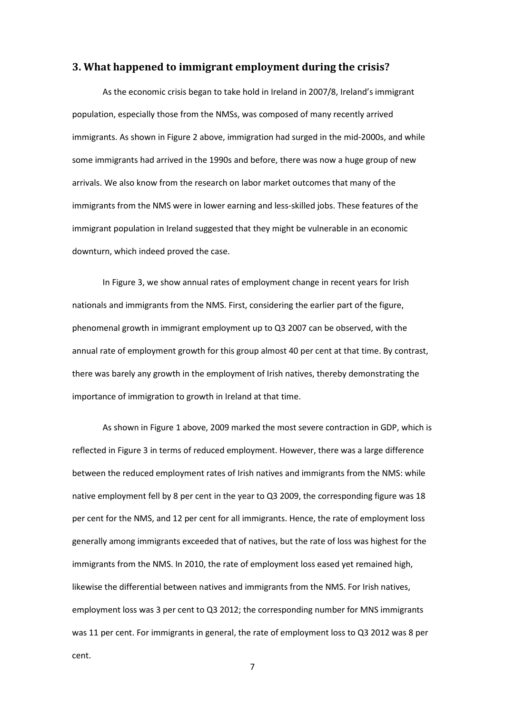#### **3. What happened to immigrant employment during the crisis?**

As the economic crisis began to take hold in Ireland in 2007/8, Ireland's immigrant population, especially those from the NMSs, was composed of many recently arrived immigrants. As shown in Figure 2 above, immigration had surged in the mid-2000s, and while some immigrants had arrived in the 1990s and before, there was now a huge group of new arrivals. We also know from the research on labor market outcomes that many of the immigrants from the NMS were in lower earning and less-skilled jobs. These features of the immigrant population in Ireland suggested that they might be vulnerable in an economic downturn, which indeed proved the case.

In Figure 3, we show annual rates of employment change in recent years for Irish nationals and immigrants from the NMS. First, considering the earlier part of the figure, phenomenal growth in immigrant employment up to Q3 2007 can be observed, with the annual rate of employment growth for this group almost 40 per cent at that time. By contrast, there was barely any growth in the employment of Irish natives, thereby demonstrating the importance of immigration to growth in Ireland at that time.

As shown in Figure 1 above, 2009 marked the most severe contraction in GDP, which is reflected in Figure 3 in terms of reduced employment. However, there was a large difference between the reduced employment rates of Irish natives and immigrants from the NMS: while native employment fell by 8 per cent in the year to Q3 2009, the corresponding figure was 18 per cent for the NMS, and 12 per cent for all immigrants. Hence, the rate of employment loss generally among immigrants exceeded that of natives, but the rate of loss was highest for the immigrants from the NMS. In 2010, the rate of employment loss eased yet remained high, likewise the differential between natives and immigrants from the NMS. For Irish natives, employment loss was 3 per cent to Q3 2012; the corresponding number for MNS immigrants was 11 per cent. For immigrants in general, the rate of employment loss to Q3 2012 was 8 per cent.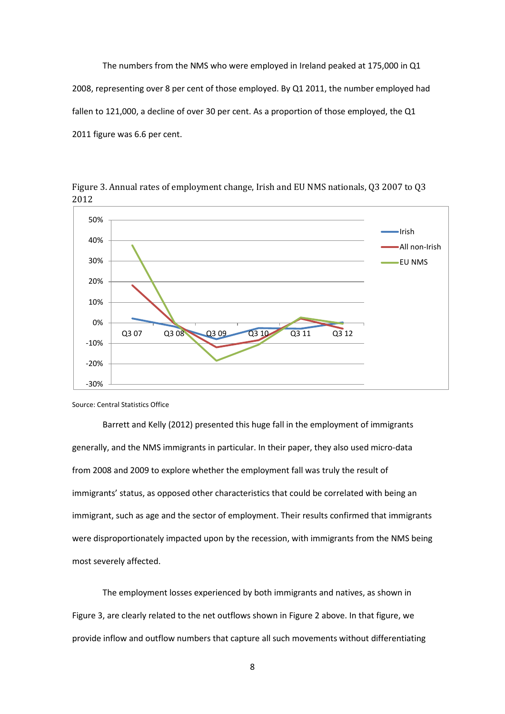The numbers from the NMS who were employed in Ireland peaked at 175,000 in Q1 2008, representing over 8 per cent of those employed. By Q1 2011, the number employed had fallen to 121,000, a decline of over 30 per cent. As a proportion of those employed, the Q1 2011 figure was 6.6 per cent.



Figure 3. Annual rates of employment change, Irish and EU NMS nationals, Q3 2007 to Q3 2012

Source: Central Statistics Office

Barrett and Kelly (2012) presented this huge fall in the employment of immigrants generally, and the NMS immigrants in particular. In their paper, they also used micro-data from 2008 and 2009 to explore whether the employment fall was truly the result of immigrants' status, as opposed other characteristics that could be correlated with being an immigrant, such as age and the sector of employment. Their results confirmed that immigrants were disproportionately impacted upon by the recession, with immigrants from the NMS being most severely affected.

The employment losses experienced by both immigrants and natives, as shown in Figure 3, are clearly related to the net outflows shown in Figure 2 above. In that figure, we provide inflow and outflow numbers that capture all such movements without differentiating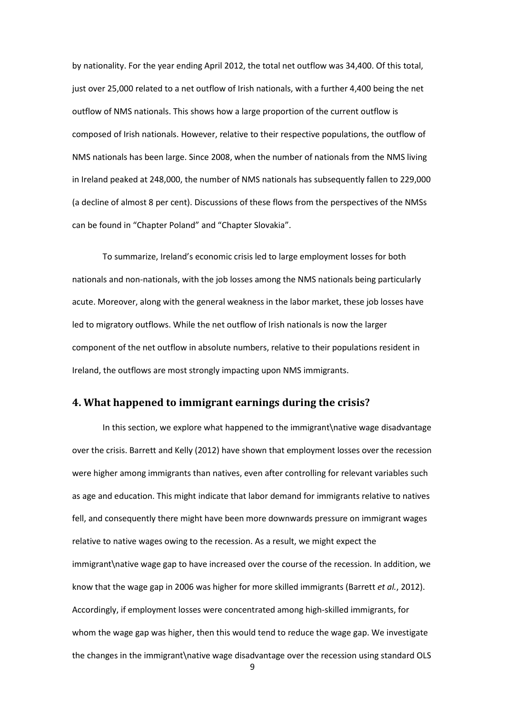by nationality. For the year ending April 2012, the total net outflow was 34,400. Of this total, just over 25,000 related to a net outflow of Irish nationals, with a further 4,400 being the net outflow of NMS nationals. This shows how a large proportion of the current outflow is composed of Irish nationals. However, relative to their respective populations, the outflow of NMS nationals has been large. Since 2008, when the number of nationals from the NMS living in Ireland peaked at 248,000, the number of NMS nationals has subsequently fallen to 229,000 (a decline of almost 8 per cent). Discussions of these flows from the perspectives of the NMSs can be found in "Chapter Poland" and "Chapter Slovakia".

To summarize, Ireland's economic crisis led to large employment losses for both nationals and non-nationals, with the job losses among the NMS nationals being particularly acute. Moreover, along with the general weakness in the labor market, these job losses have led to migratory outflows. While the net outflow of Irish nationals is now the larger component of the net outflow in absolute numbers, relative to their populations resident in Ireland, the outflows are most strongly impacting upon NMS immigrants.

#### **4. What happened to immigrant earnings during the crisis?**

In this section, we explore what happened to the immigrant\native wage disadvantage over the crisis. Barrett and Kelly (2012) have shown that employment losses over the recession were higher among immigrants than natives, even after controlling for relevant variables such as age and education. This might indicate that labor demand for immigrants relative to natives fell, and consequently there might have been more downwards pressure on immigrant wages relative to native wages owing to the recession. As a result, we might expect the immigrant\native wage gap to have increased over the course of the recession. In addition, we know that the wage gap in 2006 was higher for more skilled immigrants (Barrett *et al.*, 2012). Accordingly, if employment losses were concentrated among high-skilled immigrants, for whom the wage gap was higher, then this would tend to reduce the wage gap. We investigate the changes in the immigrant\native wage disadvantage over the recession using standard OLS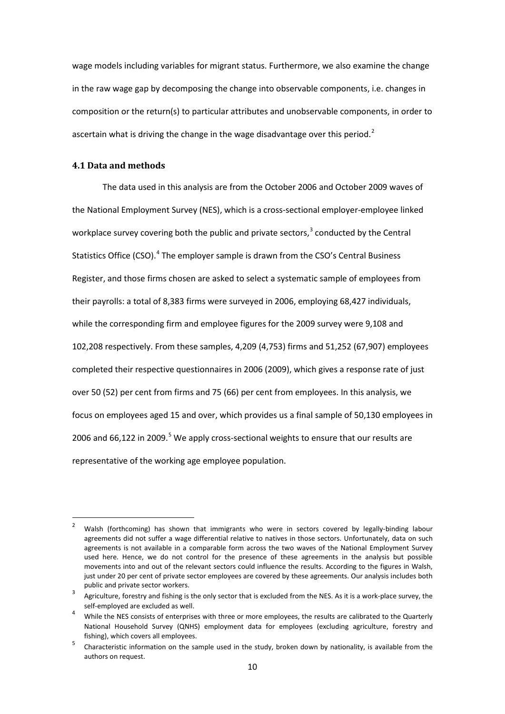wage models including variables for migrant status. Furthermore, we also examine the change in the raw wage gap by decomposing the change into observable components, i.e. changes in composition or the return(s) to particular attributes and unobservable components, in order to ascertain what is driving the change in the wage disadvantage over this period.<sup>2</sup>

#### **4.1 Data and methods**

The data used in this analysis are from the October 2006 and October 2009 waves of the National Employment Survey (NES), which is a cross-sectional employer-employee linked workplace survey covering both the public and private sectors, $3$  conducted by the Central Statistics Office (CSO).<sup>[4](#page-11-1)</sup> The employer sample is drawn from the CSO's Central Business Register, and those firms chosen are asked to select a systematic sample of employees from their payrolls: a total of 8,383 firms were surveyed in 2006, employing 68,427 individuals, while the corresponding firm and employee figures for the 2009 survey were 9,108 and 102,208 respectively. From these samples, 4,209 (4,753) firms and 51,252 (67,907) employees completed their respective questionnaires in 2006 (2009), which gives a response rate of just over 50 (52) per cent from firms and 75 (66) per cent from employees. In this analysis, we focus on employees aged 15 and over, which provides us a final sample of 50,130 employees in 2006 and 66,122 in 2009.<sup>[5](#page-11-2)</sup> We apply cross-sectional weights to ensure that our results are representative of the working age employee population.

<sup>&</sup>lt;sup>2</sup> Walsh (forthcoming) has shown that immigrants who were in sectors covered by legally-binding labour agreements did not suffer a wage differential relative to natives in those sectors. Unfortunately, data on such agreements is not available in a comparable form across the two waves of the National Employment Survey used here. Hence, we do not control for the presence of these agreements in the analysis but possible movements into and out of the relevant sectors could influence the results. According to the figures in Walsh, just under 20 per cent of private sector employees are covered by these agreements. Our analysis includes both public and private sector workers.

<span id="page-11-3"></span><span id="page-11-0"></span>Agriculture, forestry and fishing is the only sector that is excluded from the NES. As it is a work-place survey, the self-employed are excluded as well.<br>4 While the NES consists of enterprises with three or more employees, the results are calibrated to the Quarterly

<span id="page-11-1"></span>National Household Survey (QNHS) employment data for employees (excluding agriculture, forestry and fishing), which covers all employees.

<span id="page-11-2"></span><sup>&</sup>lt;sup>5</sup> Characteristic information on the sample used in the study, broken down by nationality, is available from the authors on request.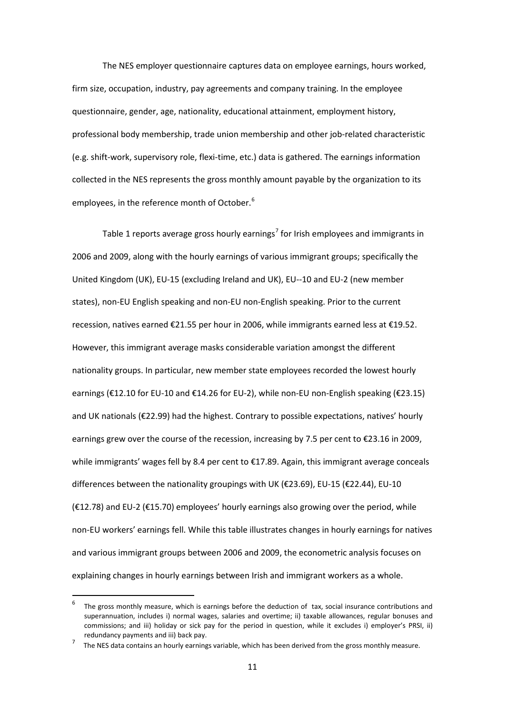The NES employer questionnaire captures data on employee earnings, hours worked, firm size, occupation, industry, pay agreements and company training. In the employee questionnaire, gender, age, nationality, educational attainment, employment history, professional body membership, trade union membership and other job-related characteristic (e.g. shift-work, supervisory role, flexi-time, etc.) data is gathered. The earnings information collected in the NES represents the gross monthly amount payable by the organization to its employees, in the reference month of October.<sup>[6](#page-11-3)</sup>

Table 1 reports average gross hourly earnings<sup>[7](#page-12-0)</sup> for Irish employees and immigrants in 2006 and 2009, along with the hourly earnings of various immigrant groups; specifically the United Kingdom (UK), EU-15 (excluding Ireland and UK), EU--10 and EU-2 (new member states), non-EU English speaking and non-EU non-English speaking. Prior to the current recession, natives earned €21.55 per hour in 2006, while immigrants earned less at €19.52. However, this immigrant average masks considerable variation amongst the different nationality groups. In particular, new member state employees recorded the lowest hourly earnings (€12.10 for EU-10 and €14.26 for EU-2), while non-EU non-English speaking (€23.15) and UK nationals (€22.99) had the highest. Contrary to possible expectations, natives' hourly earnings grew over the course of the recession, increasing by 7.5 per cent to €23.16 in 2009, while immigrants' wages fell by 8.4 per cent to €17.89. Again, this immigrant average conceals differences between the nationality groupings with UK ( $\epsilon$ 23.69), EU-15 ( $\epsilon$ 22.44), EU-10 (€12.78) and EU-2 (€15.70) employees' hourly earnings also growing over the period, while non-EU workers' earnings fell. While this table illustrates changes in hourly earnings for natives and various immigrant groups between 2006 and 2009, the econometric analysis focuses on explaining changes in hourly earnings between Irish and immigrant workers as a whole.

The gross monthly measure, which is earnings before the deduction of tax, social insurance contributions and superannuation, includes i) normal wages, salaries and overtime; ii) taxable allowances, regular bonuses and commissions; and iii) holiday or sick pay for the period in question, while it excludes i) employer's PRSI, ii) redundancy payments and iii) back pay.

<span id="page-12-1"></span><span id="page-12-0"></span><sup>7</sup> The NES data contains an hourly earnings variable, which has been derived from the gross monthly measure.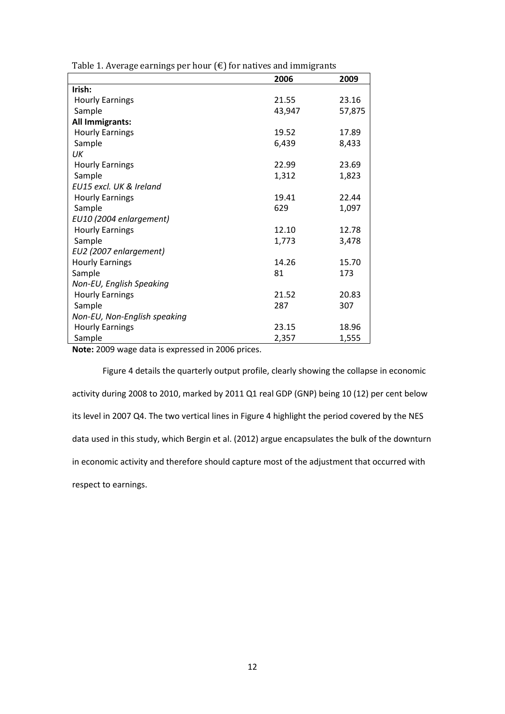| Table 1. Average earnings per hour $(\epsilon)$ for natives and immigrants |  |
|----------------------------------------------------------------------------|--|
|----------------------------------------------------------------------------|--|

|                              | 2006   | 2009   |
|------------------------------|--------|--------|
| Irish:                       |        |        |
| <b>Hourly Earnings</b>       | 21.55  | 23.16  |
| Sample                       | 43,947 | 57,875 |
| All Immigrants:              |        |        |
| <b>Hourly Earnings</b>       | 19.52  | 17.89  |
| Sample                       | 6,439  | 8,433  |
| UК                           |        |        |
| <b>Hourly Earnings</b>       | 22.99  | 23.69  |
| Sample                       | 1,312  | 1,823  |
| EU15 excl. UK & Ireland      |        |        |
| <b>Hourly Earnings</b>       | 19.41  | 22.44  |
| Sample                       | 629    | 1,097  |
| EU10 (2004 enlargement)      |        |        |
| <b>Hourly Earnings</b>       | 12.10  | 12.78  |
| Sample                       | 1,773  | 3,478  |
| EU2 (2007 enlargement)       |        |        |
| <b>Hourly Earnings</b>       | 14.26  | 15.70  |
| Sample                       | 81     | 173    |
| Non-EU, English Speaking     |        |        |
| <b>Hourly Earnings</b>       | 21.52  | 20.83  |
| Sample                       | 287    | 307    |
| Non-EU, Non-English speaking |        |        |
| <b>Hourly Earnings</b>       | 23.15  | 18.96  |
| Sample                       | 2,357  | 1,555  |

**Note:** 2009 wage data is expressed in 2006 prices.

Figure 4 details the quarterly output profile, clearly showing the collapse in economic activity during 2008 to 2010, marked by 2011 Q1 real GDP (GNP) being 10 (12) per cent below its level in 2007 Q4. The two vertical lines in Figure 4 highlight the period covered by the NES data used in this study, which Bergin et al. (2012) argue encapsulates the bulk of the downturn in economic activity and therefore should capture most of the adjustment that occurred with respect to earnings.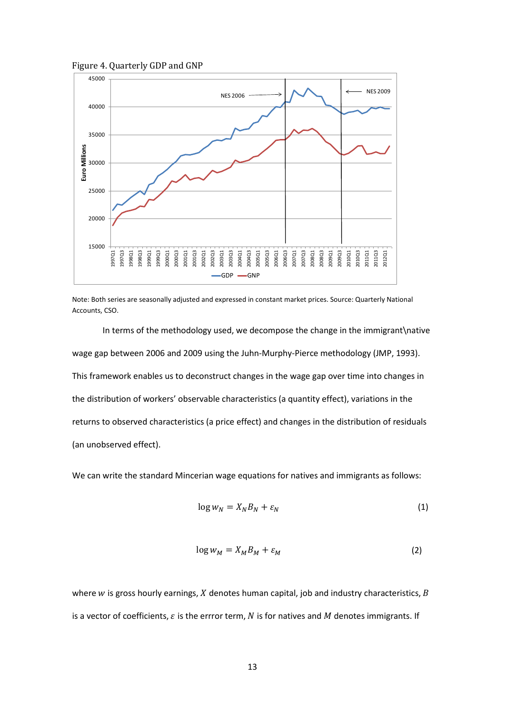Figure 4. Quarterly GDP and GNP



Note: Both series are seasonally adjusted and expressed in constant market prices. Source: Quarterly National Accounts, CSO.

In terms of the methodology used, we decompose the change in the immigrant\native wage gap between 2006 and 2009 using the Juhn-Murphy-Pierce methodology (JMP, 1993). This framework enables us to deconstruct changes in the wage gap over time into changes in the distribution of workers' observable characteristics (a quantity effect), variations in the returns to observed characteristics (a price effect) and changes in the distribution of residuals (an unobserved effect).

We can write the standard Mincerian wage equations for natives and immigrants as follows:

$$
\log w_N = X_N B_N + \varepsilon_N \tag{1}
$$

$$
\log w_M = X_M B_M + \varepsilon_M \tag{2}
$$

where  $w$  is gross hourly earnings,  $X$  denotes human capital, job and industry characteristics,  $B$ is a vector of coefficients,  $\varepsilon$  is the errror term,  $N$  is for natives and  $M$  denotes immigrants. If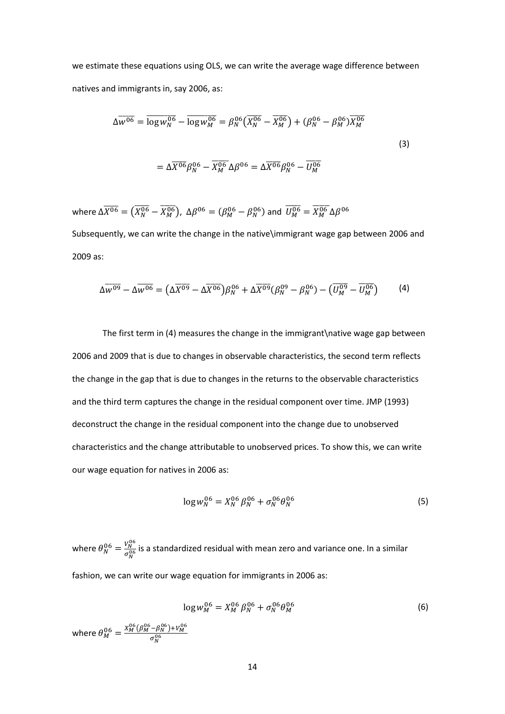we estimate these equations using OLS, we can write the average wage difference between natives and immigrants in, say 2006, as:

$$
\Delta \overline{w^{06}} = \overline{\log w_N^{06}} - \overline{\log w_M^{06}} = \beta_N^{06} \left( \overline{X_N^{06}} - \overline{X_M^{06}} \right) + (\beta_N^{06} - \beta_M^{06}) \overline{X_M^{06}}
$$
  

$$
= \Delta \overline{X^{06}} \beta_N^{06} - \overline{X_M^{06}} \Delta \beta^{06} = \Delta \overline{X^{06}} \beta_N^{06} - \overline{U_M^{06}}
$$
 (3)

where  $\Delta \overline{X^{06}} = (\overline{X_N^{06}} - \overline{X_M^{06}})$ ,  $\Delta \beta^{06} = (\beta_M^{06} - \beta_N^{06})$  and  $\overline{U_M^{06}} = \overline{X_M^{06}} \Delta \beta^{06}$ Subsequently, we can write the change in the native\immigrant wage gap between 2006 and 2009 as:

$$
\Delta \overline{W^{09}} - \Delta \overline{W^{06}} = (\Delta \overline{X^{09}} - \Delta \overline{X^{06}}) \beta_N^{06} + \Delta \overline{X^{09}} (\beta_N^{09} - \beta_N^{06}) - (\overline{U_M^{09}} - \overline{U_M^{06}})
$$
(4)

The first term in (4) measures the change in the immigrant \native wage gap between 2006 and 2009 that is due to changes in observable characteristics, the second term reflects the change in the gap that is due to changes in the returns to the observable characteristics and the third term captures the change in the residual component over time. JMP (1993) deconstruct the change in the residual component into the change due to unobserved characteristics and the change attributable to unobserved prices. To show this, we can write our wage equation for natives in 2006 as:

$$
\log w_N^{06} = X_N^{06} \beta_N^{06} + \sigma_N^{06} \theta_N^{06} \tag{5}
$$

where  $\theta_N^{06} = \frac{V_N^{06}}{\sigma_N^{06}}$  is a standardized residual with mean zero and variance one. In a similar fashion, we can write our wage equation for immigrants in 2006 as:

$$
\log w_M^{06} = X_M^{06} \beta_N^{06} + \sigma_N^{06} \theta_M^{06}
$$
\n(6)

\nwhere  $\theta_M^{06} = \frac{X_M^{06} (\beta_M^{06} - \beta_N^{06}) + V_M^{06}}{\sigma_N^{06}}$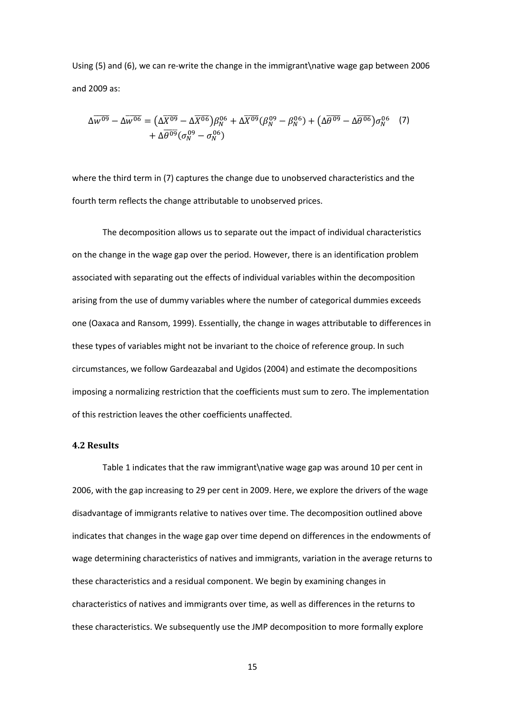Using (5) and (6), we can re-write the change in the immigrant\native wage gap between 2006 and 2009 as:

$$
\Delta \overline{w^{09}} - \Delta \overline{w^{06}} = (\Delta \overline{X^{09}} - \Delta \overline{X^{06}}) \beta_N^{06} + \Delta \overline{X^{09}} (\beta_N^{09} - \beta_N^{06}) + (\Delta \overline{\theta^{09}} - \Delta \overline{\theta^{06}}) \sigma_N^{06} \tag{7}
$$
  
+  $\Delta \overline{\theta^{09}} (\sigma_N^{09} - \sigma_N^{06})$ 

where the third term in (7) captures the change due to unobserved characteristics and the fourth term reflects the change attributable to unobserved prices.

The decomposition allows us to separate out the impact of individual characteristics on the change in the wage gap over the period. However, there is an identification problem associated with separating out the effects of individual variables within the decomposition arising from the use of dummy variables where the number of categorical dummies exceeds one (Oaxaca and Ransom, 1999). Essentially, the change in wages attributable to differences in these types of variables might not be invariant to the choice of reference group. In such circumstances, we follow Gardeazabal and Ugidos (2004) and estimate the decompositions imposing a normalizing restriction that the coefficients must sum to zero. The implementation of this restriction leaves the other coefficients unaffected.

#### **4.2 Results**

Table 1 indicates that the raw immigrant\native wage gap was around 10 per cent in 2006, with the gap increasing to 29 per cent in 2009. Here, we explore the drivers of the wage disadvantage of immigrants relative to natives over time. The decomposition outlined above indicates that changes in the wage gap over time depend on differences in the endowments of wage determining characteristics of natives and immigrants, variation in the average returns to these characteristics and a residual component. We begin by examining changes in characteristics of natives and immigrants over time, as well as differences in the returns to these characteristics. We subsequently use the JMP decomposition to more formally explore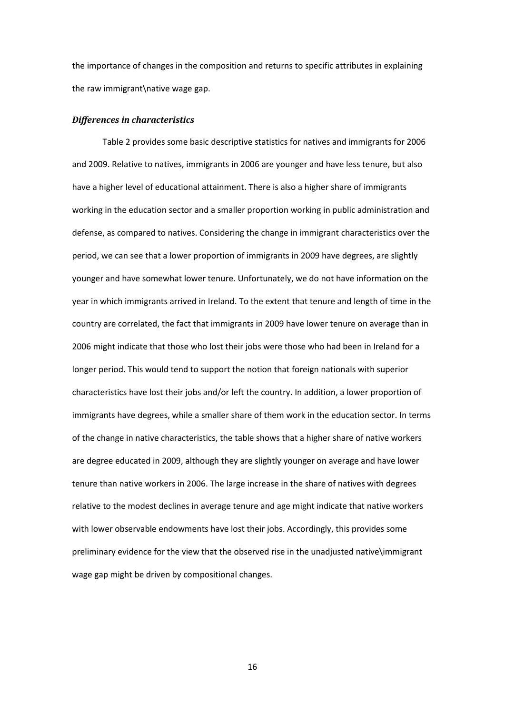the importance of changes in the composition and returns to specific attributes in explaining the raw immigrant\native wage gap.

#### *Differences in characteristics*

Table 2 provides some basic descriptive statistics for natives and immigrants for 2006 and 2009. Relative to natives, immigrants in 2006 are younger and have less tenure, but also have a higher level of educational attainment. There is also a higher share of immigrants working in the education sector and a smaller proportion working in public administration and defense, as compared to natives. Considering the change in immigrant characteristics over the period, we can see that a lower proportion of immigrants in 2009 have degrees, are slightly younger and have somewhat lower tenure. Unfortunately, we do not have information on the year in which immigrants arrived in Ireland. To the extent that tenure and length of time in the country are correlated, the fact that immigrants in 2009 have lower tenure on average than in 2006 might indicate that those who lost their jobs were those who had been in Ireland for a longer period. This would tend to support the notion that foreign nationals with superior characteristics have lost their jobs and/or left the country. In addition, a lower proportion of immigrants have degrees, while a smaller share of them work in the education sector. In terms of the change in native characteristics, the table shows that a higher share of native workers are degree educated in 2009, although they are slightly younger on average and have lower tenure than native workers in 2006. The large increase in the share of natives with degrees relative to the modest declines in average tenure and age might indicate that native workers with lower observable endowments have lost their jobs. Accordingly, this provides some preliminary evidence for the view that the observed rise in the unadjusted native\immigrant wage gap might be driven by compositional changes.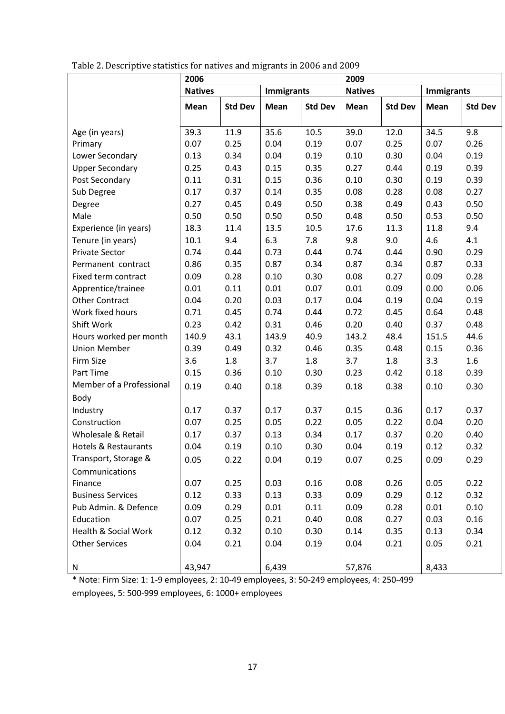|                                 | 2006           |                |                   | 2009           |                |                |                   |                  |
|---------------------------------|----------------|----------------|-------------------|----------------|----------------|----------------|-------------------|------------------|
|                                 | <b>Natives</b> |                | <b>Immigrants</b> |                | <b>Natives</b> |                | <b>Immigrants</b> |                  |
|                                 | Mean           | <b>Std Dev</b> | Mean              | <b>Std Dev</b> | Mean           | <b>Std Dev</b> | Mean              | <b>Std Dev</b>   |
|                                 |                |                |                   |                |                |                |                   |                  |
| Age (in years)                  | 39.3           | 11.9           | 35.6              | 10.5           | 39.0           | 12.0           | 34.5              | 9.8              |
| Primary                         | 0.07           | 0.25           | 0.04              | 0.19           | 0.07           | 0.25           | 0.07              | 0.26             |
| Lower Secondary                 | 0.13           | 0.34           | 0.04              | 0.19           | 0.10           | 0.30           | 0.04              | 0.19             |
| <b>Upper Secondary</b>          | 0.25           | 0.43           | 0.15              | 0.35           | 0.27           | 0.44           | 0.19              | 0.39             |
| Post Secondary                  | 0.11           | 0.31           | 0.15              | 0.36           | 0.10           | 0.30           | 0.19              | 0.39             |
| Sub Degree                      | 0.17           | 0.37           | 0.14              | 0.35           | 0.08           | 0.28           | 0.08              | 0.27             |
| Degree                          | 0.27           | 0.45           | 0.49              | 0.50           | 0.38           | 0.49           | 0.43              | 0.50             |
| Male                            | 0.50           | 0.50           | 0.50              | 0.50           | 0.48           | 0.50           | 0.53              | 0.50             |
| Experience (in years)           | 18.3           | 11.4           | 13.5              | 10.5           | 17.6           | 11.3           | 11.8              | 9.4              |
| Tenure (in years)               | $10.1\,$       | 9.4            | 6.3               | 7.8            | 9.8            | 9.0            | 4.6               | 4.1              |
| <b>Private Sector</b>           | 0.74           | 0.44           | 0.73              | 0.44           | 0.74           | 0.44           | 0.90              | 0.29             |
| Permanent contract              | 0.86           | 0.35           | 0.87              | 0.34           | 0.87           | 0.34           | 0.87              | 0.33             |
| Fixed term contract             | 0.09           | 0.28           | 0.10              | 0.30           | 0.08           | 0.27           | 0.09              | 0.28             |
| Apprentice/trainee              | 0.01           | 0.11           | 0.01              | 0.07           | 0.01           | 0.09           | 0.00              | 0.06             |
| <b>Other Contract</b>           | 0.04           | 0.20           | 0.03              | 0.17           | 0.04           | 0.19           | 0.04              | 0.19             |
| Work fixed hours                | 0.71           | 0.45           | 0.74              | 0.44           | 0.72           | 0.45           | 0.64              | 0.48             |
| Shift Work                      | 0.23           | 0.42           | 0.31              | 0.46           | 0.20           | 0.40           | 0.37              | 0.48             |
| Hours worked per month          | 140.9          | 43.1           | 143.9             | 40.9           | 143.2          | 48.4           | 151.5             | 44.6             |
| <b>Union Member</b>             | 0.39           | 0.49           | 0.32              | 0.46           | 0.35           | 0.48           | 0.15              | 0.36             |
| Firm Size                       | 3.6            | 1.8            | 3.7               | 1.8            | 3.7            | 1.8            | 3.3               | $1.6\phantom{0}$ |
| Part Time                       | 0.15           | 0.36           | 0.10              | 0.30           | 0.23           | 0.42           | 0.18              | 0.39             |
| Member of a Professional        | 0.19           | 0.40           | 0.18              | 0.39           | 0.18           | 0.38           | 0.10              | 0.30             |
| Body                            |                |                |                   |                |                |                |                   |                  |
| Industry                        | 0.17           | 0.37           | 0.17              | 0.37           | 0.15           | 0.36           | 0.17              | 0.37             |
| Construction                    | 0.07           | 0.25           | 0.05              | 0.22           | 0.05           | 0.22           | 0.04              | 0.20             |
| Wholesale & Retail              | 0.17           | 0.37           | 0.13              | 0.34           | 0.17           | 0.37           | 0.20              | 0.40             |
| <b>Hotels &amp; Restaurants</b> | 0.04           | 0.19           | 0.10              | 0.30           | 0.04           | 0.19           | 0.12              | 0.32             |
| Transport, Storage &            | 0.05           | 0.22           | 0.04              | 0.19           | 0.07           | 0.25           | 0.09              | 0.29             |
| Communications                  |                |                |                   |                |                |                |                   |                  |
| Finance                         | 0.07           | 0.25           | 0.03              | 0.16           | 0.08           | 0.26           | 0.05              | 0.22             |
| <b>Business Services</b>        | 0.12           | 0.33           | 0.13              | 0.33           | 0.09           | 0.29           | 0.12              | 0.32             |
| Pub Admin. & Defence            | 0.09           | 0.29           | 0.01              | 0.11           | 0.09           | 0.28           | 0.01              | 0.10             |
| Education                       | 0.07           | 0.25           | 0.21              | 0.40           | 0.08           | 0.27           | 0.03              | 0.16             |
| Health & Social Work            | 0.12           | 0.32           | 0.10              | 0.30           | 0.14           | 0.35           | 0.13              | 0.34             |
| <b>Other Services</b>           | 0.04           | 0.21           | 0.04              | 0.19           | 0.04           | 0.21           | 0.05              | 0.21             |
|                                 |                |                |                   |                |                |                |                   |                  |
| ${\sf N}$                       | 43,947         |                | 6,439             |                | 57,876         |                | 8,433             |                  |

Table 2. Descriptive statistics for natives and migrants in 2006 and 2009

\* Note: Firm Size: 1: 1-9 employees, 2: 10-49 employees, 3: 50-249 employees, 4: 250-499 employees, 5: 500-999 employees, 6: 1000+ employees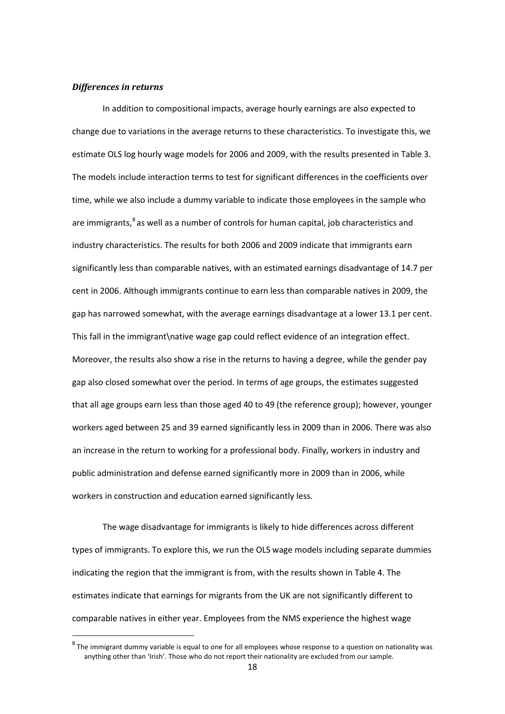#### *Differences in returns*

In addition to compositional impacts, average hourly earnings are also expected to change due to variations in the average returns to these characteristics. To investigate this, we estimate OLS log hourly wage models for 2006 and 2009, with the results presented in Table 3. The models include interaction terms to test for significant differences in the coefficients over time, while we also include a dummy variable to indicate those employees in the sample who are immigrants,<sup>[8](#page-12-1)</sup> as well as a number of controls for human capital, job characteristics and industry characteristics. The results for both 2006 and 2009 indicate that immigrants earn significantly less than comparable natives, with an estimated earnings disadvantage of 14.7 per cent in 2006. Although immigrants continue to earn less than comparable natives in 2009, the gap has narrowed somewhat, with the average earnings disadvantage at a lower 13.1 per cent. This fall in the immigrant\native wage gap could reflect evidence of an integration effect. Moreover, the results also show a rise in the returns to having a degree, while the gender pay gap also closed somewhat over the period. In terms of age groups, the estimates suggested that all age groups earn less than those aged 40 to 49 (the reference group); however, younger workers aged between 25 and 39 earned significantly less in 2009 than in 2006. There was also an increase in the return to working for a professional body. Finally, workers in industry and public administration and defense earned significantly more in 2009 than in 2006, while workers in construction and education earned significantly less.

The wage disadvantage for immigrants is likely to hide differences across different types of immigrants. To explore this, we run the OLS wage models including separate dummies indicating the region that the immigrant is from, with the results shown in Table 4. The estimates indicate that earnings for migrants from the UK are not significantly different to comparable natives in either year. Employees from the NMS experience the highest wage

<span id="page-19-0"></span> $8$  The immigrant dummy variable is equal to one for all employees whose response to a question on nationality was anything other than 'Irish'. Those who do not report their nationality are excluded from our sample.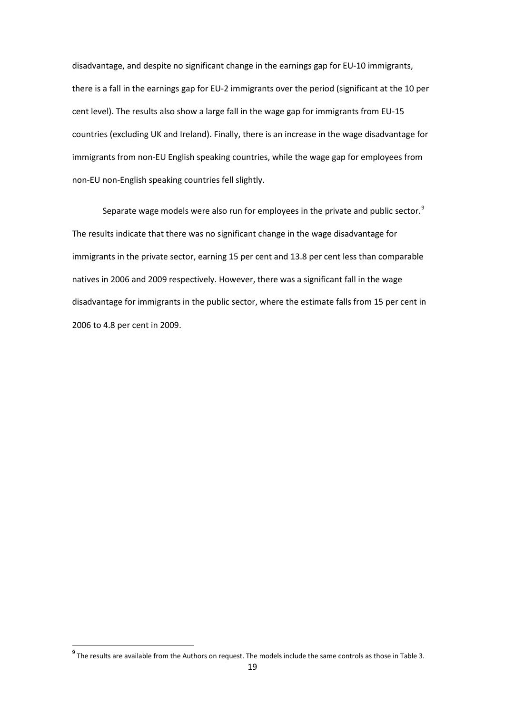disadvantage, and despite no significant change in the earnings gap for EU-10 immigrants, there is a fall in the earnings gap for EU-2 immigrants over the period (significant at the 10 per cent level). The results also show a large fall in the wage gap for immigrants from EU-15 countries (excluding UK and Ireland). Finally, there is an increase in the wage disadvantage for immigrants from non-EU English speaking countries, while the wage gap for employees from non-EU non-English speaking countries fell slightly.

Separate wage models were also run for employees in the private and public sector.<sup>[9](#page-19-0)</sup> The results indicate that there was no significant change in the wage disadvantage for immigrants in the private sector, earning 15 per cent and 13.8 per cent less than comparable natives in 2006 and 2009 respectively. However, there was a significant fall in the wage disadvantage for immigrants in the public sector, where the estimate falls from 15 per cent in 2006 to 4.8 per cent in 2009.

<span id="page-20-0"></span> $9$  The results are available from the Authors on request. The models include the same controls as those in Table 3.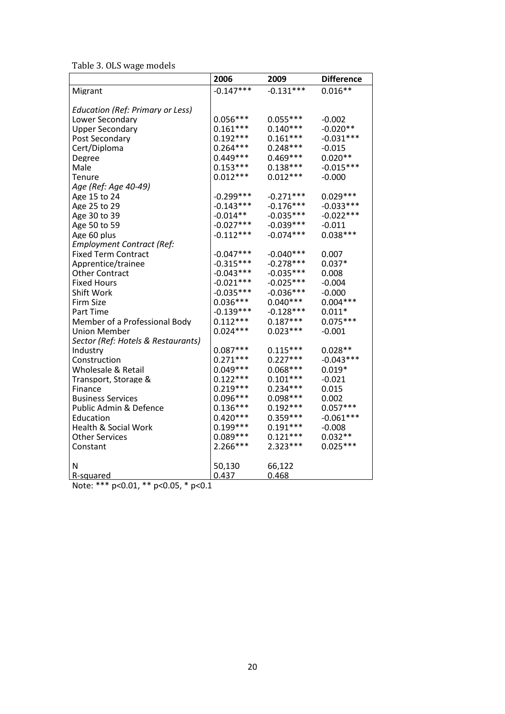Table 3. OLS wage models

|                                                                              | 2006        | 2009        | <b>Difference</b> |
|------------------------------------------------------------------------------|-------------|-------------|-------------------|
| Migrant                                                                      | $-0.147***$ | $-0.131***$ | $0.016**$         |
|                                                                              |             |             |                   |
| <b>Education (Ref: Primary or Less)</b>                                      |             |             |                   |
| Lower Secondary                                                              | $0.056***$  | $0.055***$  | $-0.002$          |
| <b>Upper Secondary</b>                                                       | $0.161***$  | $0.140***$  | $-0.020**$        |
| Post Secondary                                                               | $0.192***$  | $0.161***$  | $-0.031***$       |
| Cert/Diploma                                                                 | $0.264***$  | $0.248***$  | $-0.015$          |
| Degree                                                                       | $0.449***$  | $0.469***$  | $0.020**$         |
| Male                                                                         | $0.153***$  | $0.138***$  | $-0.015***$       |
| Tenure                                                                       | $0.012***$  | $0.012***$  | $-0.000$          |
| Age (Ref: Age 40-49)                                                         |             |             |                   |
| Age 15 to 24                                                                 | $-0.299***$ | $-0.271***$ | $0.029***$        |
| Age 25 to 29                                                                 | $-0.143***$ | $-0.176***$ | $-0.033***$       |
| Age 30 to 39                                                                 | $-0.014**$  | $-0.035***$ | $-0.022***$       |
| Age 50 to 59                                                                 | $-0.027***$ | $-0.039***$ | $-0.011$          |
| Age 60 plus                                                                  | $-0.112***$ | $-0.074***$ | $0.038***$        |
| <b>Employment Contract (Ref:</b>                                             |             |             |                   |
| <b>Fixed Term Contract</b>                                                   | $-0.047***$ | $-0.040***$ | 0.007             |
| Apprentice/trainee                                                           | $-0.315***$ | $-0.278***$ | $0.037*$          |
| <b>Other Contract</b>                                                        | $-0.043***$ | $-0.035***$ | 0.008             |
| <b>Fixed Hours</b>                                                           | $-0.021***$ | $-0.025***$ | $-0.004$          |
| Shift Work                                                                   | $-0.035***$ | $-0.036***$ | $-0.000$          |
| <b>Firm Size</b>                                                             | $0.036***$  | $0.040***$  | $0.004***$        |
| Part Time                                                                    | $-0.139***$ | $-0.128***$ | $0.011*$          |
| Member of a Professional Body                                                | $0.112***$  | $0.187***$  | $0.075***$        |
| <b>Union Member</b>                                                          | $0.024***$  | $0.023***$  | $-0.001$          |
| Sector (Ref: Hotels & Restaurants)                                           |             |             |                   |
| Industry                                                                     | $0.087***$  | $0.115***$  | $0.028**$         |
| Construction                                                                 | $0.271***$  | $0.227***$  | $-0.043***$       |
| Wholesale & Retail                                                           | $0.049***$  | $0.068***$  | $0.019*$          |
| Transport, Storage &                                                         | $0.122***$  | $0.101***$  | $-0.021$          |
| Finance                                                                      | $0.219***$  | $0.234***$  | 0.015             |
| <b>Business Services</b>                                                     | $0.096***$  | $0.098***$  | 0.002             |
| Public Admin & Defence                                                       | $0.136***$  | $0.192***$  | $0.057***$        |
| Education                                                                    | $0.420***$  | $0.359***$  | $-0.061***$       |
| Health & Social Work                                                         | $0.199***$  | $0.191***$  | $-0.008$          |
| <b>Other Services</b>                                                        | $0.089***$  | $0.121***$  | $0.032**$         |
| Constant                                                                     | 2.266***    | $2.323***$  | $0.025***$        |
|                                                                              |             |             |                   |
| N                                                                            | 50,130      | 66,122      |                   |
| R-squared                                                                    | 0.437       | 0.468       |                   |
| $N_{0}$ + $\alpha$ , *** $\alpha$ / 0.01 ** $\alpha$ / 0.05 * $\alpha$ / 0.1 |             |             |                   |

Note: \*\*\* p<0.01, \*\* p<0.05, \* p<0.1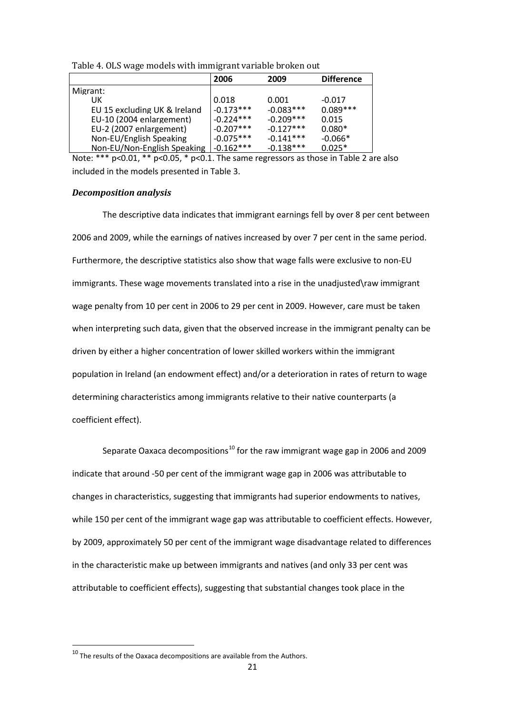|                              | 2006        | 2009        | <b>Difference</b> |
|------------------------------|-------------|-------------|-------------------|
| Migrant:                     |             |             |                   |
| UK                           | 0.018       | 0.001       | $-0.017$          |
| EU 15 excluding UK & Ireland | $-0.173***$ | $-0.083***$ | $0.089***$        |
| EU-10 (2004 enlargement)     | $-0.224***$ | $-0.209***$ | 0.015             |
| EU-2 (2007 enlargement)      | $-0.207***$ | $-0.127***$ | $0.080*$          |
| Non-EU/English Speaking      | $-0.075***$ | $-0.141***$ | $-0.066*$         |
| Non-EU/Non-English Speaking  | $-0.162***$ | $-0.138***$ | $0.025*$          |
|                              |             |             |                   |

Note: \*\*\* p<0.01, \*\* p<0.05, \* p<0.1. The same regressors as those in Table 2 are also included in the models presented in Table 3.

#### *Decomposition analysis*

The descriptive data indicates that immigrant earnings fell by over 8 per cent between 2006 and 2009, while the earnings of natives increased by over 7 per cent in the same period. Furthermore, the descriptive statistics also show that wage falls were exclusive to non-EU immigrants. These wage movements translated into a rise in the unadjusted\raw immigrant wage penalty from 10 per cent in 2006 to 29 per cent in 2009. However, care must be taken when interpreting such data, given that the observed increase in the immigrant penalty can be driven by either a higher concentration of lower skilled workers within the immigrant population in Ireland (an endowment effect) and/or a deterioration in rates of return to wage determining characteristics among immigrants relative to their native counterparts (a coefficient effect).

Separate Oaxaca decompositions<sup>[10](#page-20-0)</sup> for the raw immigrant wage gap in 2006 and 2009 indicate that around -50 per cent of the immigrant wage gap in 2006 was attributable to changes in characteristics, suggesting that immigrants had superior endowments to natives, while 150 per cent of the immigrant wage gap was attributable to coefficient effects. However, by 2009, approximately 50 per cent of the immigrant wage disadvantage related to differences in the characteristic make up between immigrants and natives (and only 33 per cent was attributable to coefficient effects), suggesting that substantial changes took place in the

<span id="page-22-0"></span> $10$  The results of the Oaxaca decompositions are available from the Authors.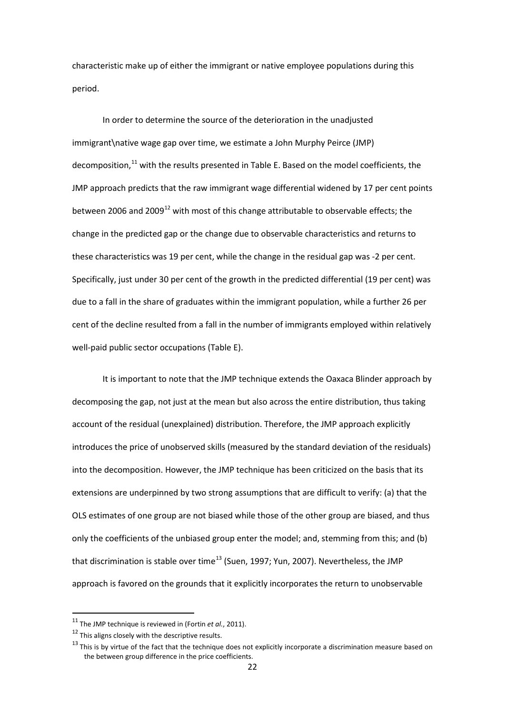characteristic make up of either the immigrant or native employee populations during this period.

In order to determine the source of the deterioration in the unadjusted immigrant\native wage gap over time, we estimate a John Murphy Peirce (JMP) decomposition,<sup>[11](#page-22-0)</sup> with the results presented in Table E. Based on the model coefficients, the JMP approach predicts that the raw immigrant wage differential widened by 17 per cent points between 2006 and 2009 $^{12}$  $^{12}$  $^{12}$  with most of this change attributable to observable effects; the change in the predicted gap or the change due to observable characteristics and returns to these characteristics was 19 per cent, while the change in the residual gap was -2 per cent. Specifically, just under 30 per cent of the growth in the predicted differential (19 per cent) was due to a fall in the share of graduates within the immigrant population, while a further 26 per cent of the decline resulted from a fall in the number of immigrants employed within relatively well-paid public sector occupations (Table E).

It is important to note that the JMP technique extends the Oaxaca Blinder approach by decomposing the gap, not just at the mean but also across the entire distribution, thus taking account of the residual (unexplained) distribution. Therefore, the JMP approach explicitly introduces the price of unobserved skills (measured by the standard deviation of the residuals) into the decomposition. However, the JMP technique has been criticized on the basis that its extensions are underpinned by two strong assumptions that are difficult to verify: (a) that the OLS estimates of one group are not biased while those of the other group are biased, and thus only the coefficients of the unbiased group enter the model; and, stemming from this; and (b) that discrimination is stable over time<sup>[13](#page-23-1)</sup> (Suen, 1997; Yun, 2007). Nevertheless, the JMP approach is favored on the grounds that it explicitly incorporates the return to unobservable

<sup>&</sup>lt;sup>11</sup> The JMP technique is reviewed in (Fortin *et al.*, 2011).<br><sup>12</sup> This aligns closely with the descriptive results.

<span id="page-23-0"></span>

<span id="page-23-2"></span><span id="page-23-1"></span> $^{13}$  This is by virtue of the fact that the technique does not explicitly incorporate a discrimination measure based on the between group difference in the price coefficients.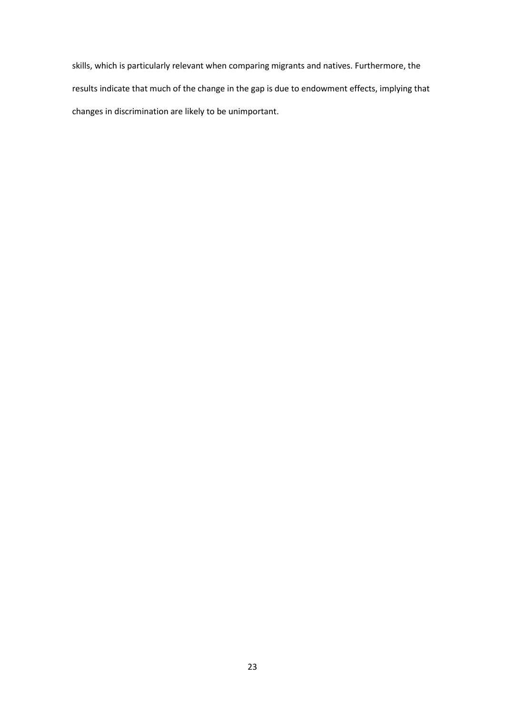skills, which is particularly relevant when comparing migrants and natives. Furthermore, the results indicate that much of the change in the gap is due to endowment effects, implying that changes in discrimination are likely to be unimportant.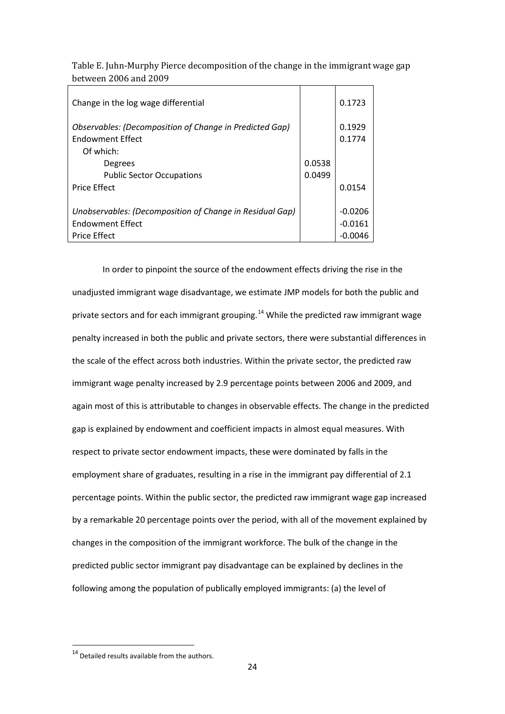Table E. Juhn-Murphy Pierce decomposition of the change in the immigrant wage gap between 2006 and 2009

| Change in the log wage differential                                                       |        | 0.1723           |
|-------------------------------------------------------------------------------------------|--------|------------------|
| <b>Observables: (Decomposition of Change in Predicted Gap)</b><br><b>Fndowment Effect</b> |        | 0.1929<br>0.1774 |
| Of which:                                                                                 |        |                  |
| Degrees                                                                                   | 0.0538 |                  |
| <b>Public Sector Occupations</b>                                                          | 0.0499 |                  |
| <b>Price Effect</b>                                                                       |        | 0.0154           |
|                                                                                           |        |                  |
| Unobservables: (Decomposition of Change in Residual Gap)                                  |        | $-0.0206$        |
| <b>Fndowment Effect</b>                                                                   |        | -0.0161          |
| <b>Price Effect</b>                                                                       |        | -0.0046          |

In order to pinpoint the source of the endowment effects driving the rise in the unadjusted immigrant wage disadvantage, we estimate JMP models for both the public and private sectors and for each immigrant grouping.<sup>[14](#page-23-2)</sup> While the predicted raw immigrant wage penalty increased in both the public and private sectors, there were substantial differences in the scale of the effect across both industries. Within the private sector, the predicted raw immigrant wage penalty increased by 2.9 percentage points between 2006 and 2009, and again most of this is attributable to changes in observable effects. The change in the predicted gap is explained by endowment and coefficient impacts in almost equal measures. With respect to private sector endowment impacts, these were dominated by falls in the employment share of graduates, resulting in a rise in the immigrant pay differential of 2.1 percentage points. Within the public sector, the predicted raw immigrant wage gap increased by a remarkable 20 percentage points over the period, with all of the movement explained by changes in the composition of the immigrant workforce. The bulk of the change in the predicted public sector immigrant pay disadvantage can be explained by declines in the following among the population of publically employed immigrants: (a) the level of

 $14$  Detailed results available from the authors.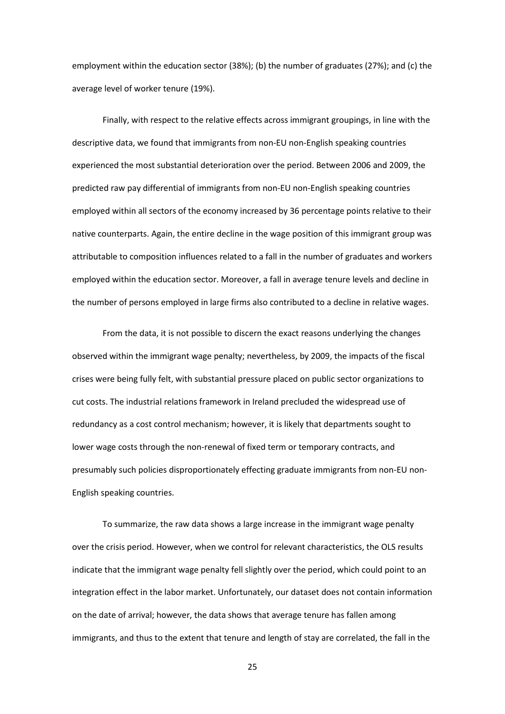employment within the education sector (38%); (b) the number of graduates (27%); and (c) the average level of worker tenure (19%).

Finally, with respect to the relative effects across immigrant groupings, in line with the descriptive data, we found that immigrants from non-EU non-English speaking countries experienced the most substantial deterioration over the period. Between 2006 and 2009, the predicted raw pay differential of immigrants from non-EU non-English speaking countries employed within all sectors of the economy increased by 36 percentage points relative to their native counterparts. Again, the entire decline in the wage position of this immigrant group was attributable to composition influences related to a fall in the number of graduates and workers employed within the education sector. Moreover, a fall in average tenure levels and decline in the number of persons employed in large firms also contributed to a decline in relative wages.

From the data, it is not possible to discern the exact reasons underlying the changes observed within the immigrant wage penalty; nevertheless, by 2009, the impacts of the fiscal crises were being fully felt, with substantial pressure placed on public sector organizations to cut costs. The industrial relations framework in Ireland precluded the widespread use of redundancy as a cost control mechanism; however, it is likely that departments sought to lower wage costs through the non-renewal of fixed term or temporary contracts, and presumably such policies disproportionately effecting graduate immigrants from non-EU non-English speaking countries.

To summarize, the raw data shows a large increase in the immigrant wage penalty over the crisis period. However, when we control for relevant characteristics, the OLS results indicate that the immigrant wage penalty fell slightly over the period, which could point to an integration effect in the labor market. Unfortunately, our dataset does not contain information on the date of arrival; however, the data shows that average tenure has fallen among immigrants, and thus to the extent that tenure and length of stay are correlated, the fall in the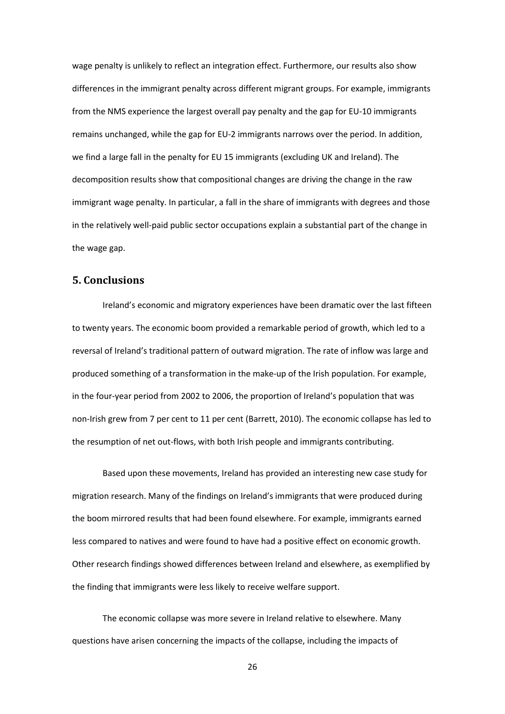wage penalty is unlikely to reflect an integration effect. Furthermore, our results also show differences in the immigrant penalty across different migrant groups. For example, immigrants from the NMS experience the largest overall pay penalty and the gap for EU-10 immigrants remains unchanged, while the gap for EU-2 immigrants narrows over the period. In addition, we find a large fall in the penalty for EU 15 immigrants (excluding UK and Ireland). The decomposition results show that compositional changes are driving the change in the raw immigrant wage penalty. In particular, a fall in the share of immigrants with degrees and those in the relatively well-paid public sector occupations explain a substantial part of the change in the wage gap.

#### **5. Conclusions**

Ireland's economic and migratory experiences have been dramatic over the last fifteen to twenty years. The economic boom provided a remarkable period of growth, which led to a reversal of Ireland's traditional pattern of outward migration. The rate of inflow was large and produced something of a transformation in the make-up of the Irish population. For example, in the four-year period from 2002 to 2006, the proportion of Ireland's population that was non-Irish grew from 7 per cent to 11 per cent (Barrett, 2010). The economic collapse has led to the resumption of net out-flows, with both Irish people and immigrants contributing.

Based upon these movements, Ireland has provided an interesting new case study for migration research. Many of the findings on Ireland's immigrants that were produced during the boom mirrored results that had been found elsewhere. For example, immigrants earned less compared to natives and were found to have had a positive effect on economic growth. Other research findings showed differences between Ireland and elsewhere, as exemplified by the finding that immigrants were less likely to receive welfare support.

The economic collapse was more severe in Ireland relative to elsewhere. Many questions have arisen concerning the impacts of the collapse, including the impacts of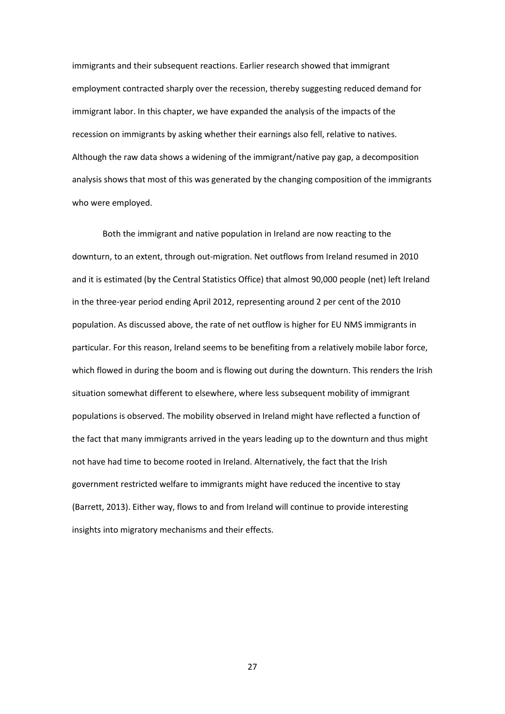immigrants and their subsequent reactions. Earlier research showed that immigrant employment contracted sharply over the recession, thereby suggesting reduced demand for immigrant labor. In this chapter, we have expanded the analysis of the impacts of the recession on immigrants by asking whether their earnings also fell, relative to natives. Although the raw data shows a widening of the immigrant/native pay gap, a decomposition analysis shows that most of this was generated by the changing composition of the immigrants who were employed.

Both the immigrant and native population in Ireland are now reacting to the downturn, to an extent, through out-migration. Net outflows from Ireland resumed in 2010 and it is estimated (by the Central Statistics Office) that almost 90,000 people (net) left Ireland in the three-year period ending April 2012, representing around 2 per cent of the 2010 population. As discussed above, the rate of net outflow is higher for EU NMS immigrants in particular. For this reason, Ireland seems to be benefiting from a relatively mobile labor force, which flowed in during the boom and is flowing out during the downturn. This renders the Irish situation somewhat different to elsewhere, where less subsequent mobility of immigrant populations is observed. The mobility observed in Ireland might have reflected a function of the fact that many immigrants arrived in the years leading up to the downturn and thus might not have had time to become rooted in Ireland. Alternatively, the fact that the Irish government restricted welfare to immigrants might have reduced the incentive to stay (Barrett, 2013). Either way, flows to and from Ireland will continue to provide interesting insights into migratory mechanisms and their effects.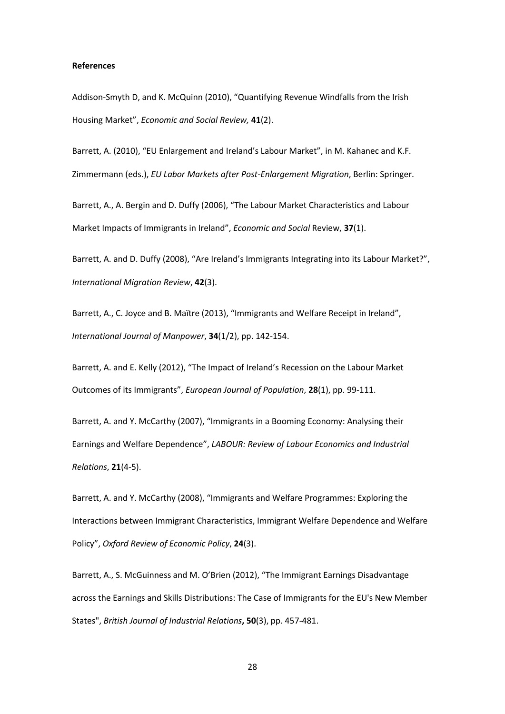#### **References**

Addison-Smyth D, and K. McQuinn (2010), "Quantifying Revenue Windfalls from the Irish Housing Market", *Economic and Social Review,* **41**(2).

Barrett, A. (2010), "EU Enlargement and Ireland's Labour Market", in M. Kahanec and K.F. Zimmermann (eds.), *EU Labor Markets after Post-Enlargement Migration*, Berlin: Springer.

Barrett, A., A. Bergin and D. Duffy (2006), "The Labour Market Characteristics and Labour Market Impacts of Immigrants in Ireland", *Economic and Social* Review, **37**(1).

Barrett, A. and D. Duffy (2008), "Are Ireland's Immigrants Integrating into its Labour Market?", *International Migration Review*, **42**(3).

Barrett, A., C. Joyce and B. Maïtre (2013), "Immigrants and Welfare Receipt in Ireland", *International Journal of Manpower*, **34**(1/2), pp. 142-154.

Barrett, A. and E. Kelly (2012), "The Impact of Ireland's Recession on the Labour Market Outcomes of its Immigrants", *European Journal of Population*, **28**(1), pp. 99-111.

Barrett, A. and Y. McCarthy (2007), "Immigrants in a Booming Economy: Analysing their Earnings and Welfare Dependence", *LABOUR: Review of Labour Economics and Industrial Relations*, **21**(4-5).

Barrett, A. and Y. McCarthy (2008), "Immigrants and Welfare Programmes: Exploring the Interactions between Immigrant Characteristics, Immigrant Welfare Dependence and Welfare Policy", *Oxford Review of Economic Policy*, **24**(3).

Barrett, A., S. McGuinness and M. O'Brien (2012), "The Immigrant Earnings Disadvantage across the Earnings and Skills Distributions: The Case of Immigrants for the EU's New Member States", *British Journal of Industrial Relations***, 50**(3), pp. 457-481.